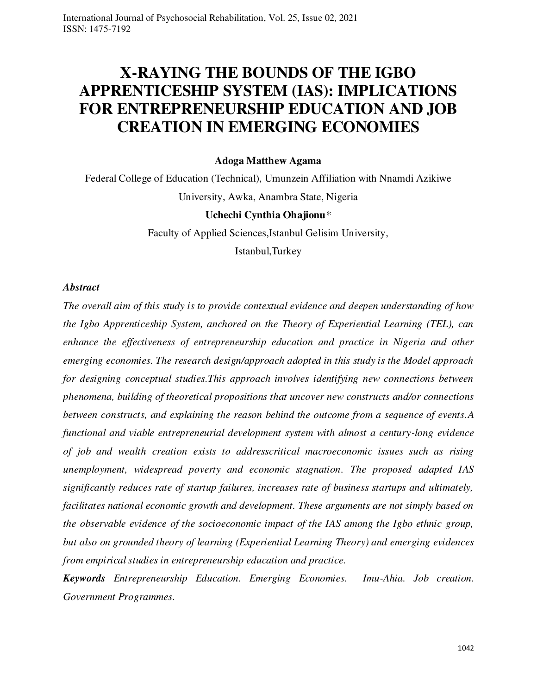# **X-RAYING THE BOUNDS OF THE IGBO APPRENTICESHIP SYSTEM (IAS): IMPLICATIONS FOR ENTREPRENEURSHIP EDUCATION AND JOB CREATION IN EMERGING ECONOMIES**

## **Adoga Matthew Agama**

Federal College of Education (Technical), Umunzein Affiliation with Nnamdi Azikiwe University, Awka, Anambra State, Nigeria

## **Uchechi Cynthia Ohajionu***\**

Faculty of Applied Sciences,Istanbul Gelisim University,

Istanbul,Turkey

#### *Abstract*

*The overall aim of this study is to provide contextual evidence and deepen understanding of how the Igbo Apprenticeship System, anchored on the Theory of Experiential Learning (TEL), can enhance the effectiveness of entrepreneurship education and practice in Nigeria and other emerging economies. The research design/approach adopted in this study is the Model approach for designing conceptual studies.This approach involves identifying new connections between phenomena, building of theoretical propositions that uncover new constructs and/or connections between constructs, and explaining the reason behind the outcome from a sequence of events.A functional and viable entrepreneurial development system with almost a century-long evidence of job and wealth creation exists to addresscritical macroeconomic issues such as rising unemployment, widespread poverty and economic stagnation. The proposed adapted IAS significantly reduces rate of startup failures, increases rate of business startups and ultimately, facilitates national economic growth and development. These arguments are not simply based on the observable evidence of the socioeconomic impact of the IAS among the Igbo ethnic group, but also on grounded theory of learning (Experiential Learning Theory) and emerging evidences from empirical studies in entrepreneurship education and practice.* 

*Keywords Entrepreneurship Education. Emerging Economies. Imu-Ahia. Job creation. Government Programmes.*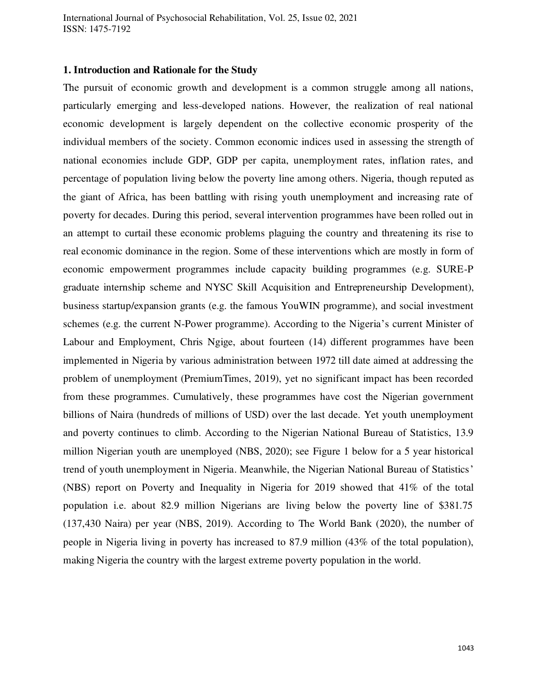#### **1. Introduction and Rationale for the Study**

The pursuit of economic growth and development is a common struggle among all nations, particularly emerging and less-developed nations. However, the realization of real national economic development is largely dependent on the collective economic prosperity of the individual members of the society. Common economic indices used in assessing the strength of national economies include GDP, GDP per capita, unemployment rates, inflation rates, and percentage of population living below the poverty line among others. Nigeria, though reputed as the giant of Africa, has been battling with rising youth unemployment and increasing rate of poverty for decades. During this period, several intervention programmes have been rolled out in an attempt to curtail these economic problems plaguing the country and threatening its rise to real economic dominance in the region. Some of these interventions which are mostly in form of economic empowerment programmes include capacity building programmes (e.g. SURE-P graduate internship scheme and NYSC Skill Acquisition and Entrepreneurship Development), business startup/expansion grants (e.g. the famous YouWIN programme), and social investment schemes (e.g. the current N-Power programme). According to the Nigeria's current Minister of Labour and Employment, Chris Ngige, about fourteen (14) different programmes have been implemented in Nigeria by various administration between 1972 till date aimed at addressing the problem of unemployment (PremiumTimes, 2019), yet no significant impact has been recorded from these programmes. Cumulatively, these programmes have cost the Nigerian government billions of Naira (hundreds of millions of USD) over the last decade. Yet youth unemployment and poverty continues to climb. According to the Nigerian National Bureau of Statistics, 13.9 million Nigerian youth are unemployed (NBS, 2020); see Figure 1 below for a 5 year historical trend of youth unemployment in Nigeria. Meanwhile, the Nigerian National Bureau of Statistics' (NBS) report on Poverty and Inequality in Nigeria for 2019 showed that 41% of the total population i.e. about 82.9 million Nigerians are living below the poverty line of \$381.75 (137,430 Naira) per year (NBS, 2019). According to The World Bank (2020), the number of people in Nigeria living in poverty has increased to 87.9 million (43% of the total population), making Nigeria the country with the largest extreme poverty population in the world.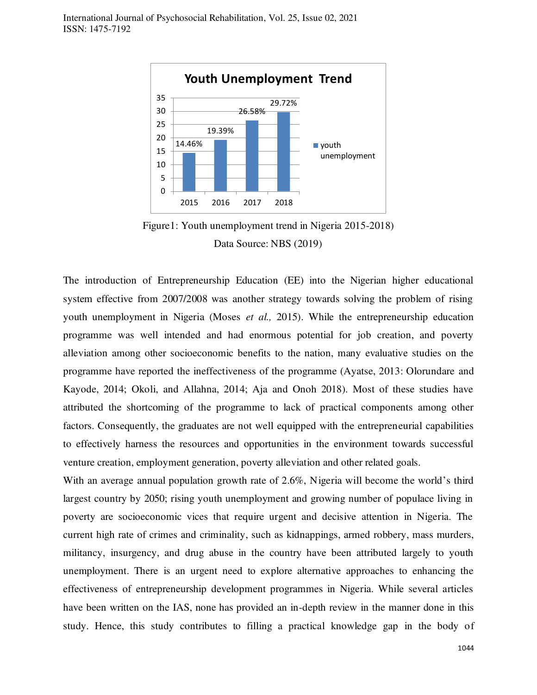

Figure1: Youth unemployment trend in Nigeria 2015-2018) Data Source: NBS (2019)

The introduction of Entrepreneurship Education (EE) into the Nigerian higher educational system effective from 2007/2008 was another strategy towards solving the problem of rising youth unemployment in Nigeria (Moses *et al.,* 2015). While the entrepreneurship education programme was well intended and had enormous potential for job creation, and poverty alleviation among other socioeconomic benefits to the nation, many evaluative studies on the programme have reported the ineffectiveness of the programme (Ayatse, 2013: Olorundare and Kayode, 2014; Okoli, and Allahna, 2014; Aja and Onoh 2018). Most of these studies have attributed the shortcoming of the programme to lack of practical components among other factors. Consequently, the graduates are not well equipped with the entrepreneurial capabilities to effectively harness the resources and opportunities in the environment towards successful venture creation, employment generation, poverty alleviation and other related goals.

With an average annual population growth rate of 2.6%, Nigeria will become the world's third largest country by 2050; rising youth unemployment and growing number of populace living in poverty are socioeconomic vices that require urgent and decisive attention in Nigeria. The current high rate of crimes and criminality, such as kidnappings, armed robbery, mass murders, militancy, insurgency, and drug abuse in the country have been attributed largely to youth unemployment. There is an urgent need to explore alternative approaches to enhancing the effectiveness of entrepreneurship development programmes in Nigeria. While several articles have been written on the IAS, none has provided an in-depth review in the manner done in this study. Hence, this study contributes to filling a practical knowledge gap in the body of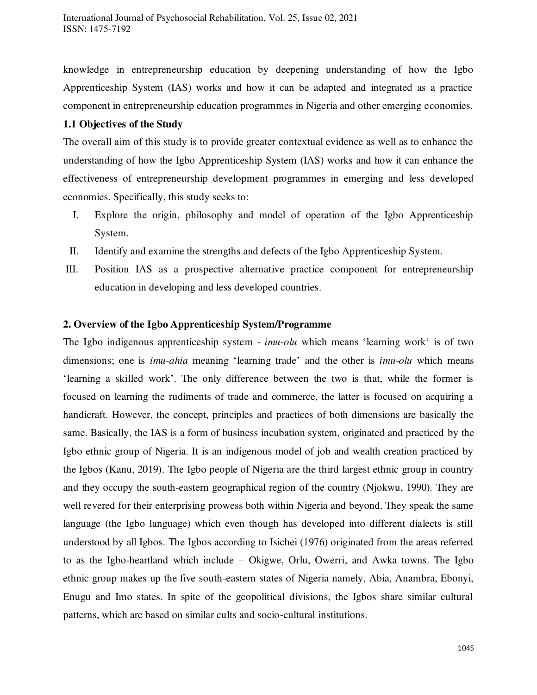knowledge in entrepreneurship education by deepening understanding of how the Igbo Apprenticeship System (IAS) works and how it can be adapted and integrated as a practice component in entrepreneurship education programmes in Nigeria and other emerging economies.

## **1.1 Objectives of the Study**

The overall aim of this study is to provide greater contextual evidence as well as to enhance the understanding of how the Igbo Apprenticeship System (IAS) works and how it can enhance the effectiveness of entrepreneurship development programmes in emerging and less developed economies. Specifically, this study seeks to:

- I. Explore the origin, philosophy and model of operation of the Igbo Apprenticeship System.
- II. Identify and examine the strengths and defects of the Igbo Apprenticeship System.
- III. Position IAS as a prospective alternative practice component for entrepreneurship education in developing and less developed countries.

## **2. Overview of the Igbo Apprenticeship System/Programme**

The Igbo indigenous apprenticeship system - *imu-olu* which means 'learning work' is of two dimensions; one is *imu-ahia* meaning 'learning trade' and the other is *imu-olu* which means 'learning a skilled work'. The only difference between the two is that, while the former is focused on learning the rudiments of trade and commerce, the latter is focused on acquiring a handicraft. However, the concept, principles and practices of both dimensions are basically the same. Basically, the IAS is a form of business incubation system, originated and practiced by the Igbo ethnic group of Nigeria. It is an indigenous model of job and wealth creation practiced by the Igbos (Kanu, 2019). The Igbo people of Nigeria are the third largest ethnic group in country and they occupy the south-eastern geographical region of the country (Njokwu, 1990). They are well revered for their enterprising prowess both within Nigeria and beyond. They speak the same language (the Igbo language) which even though has developed into different dialects is still understood by all Igbos. The Igbos according to Isichei (1976) originated from the areas referred to as the Igbo-heartland which include – Okigwe, Orlu, Owerri, and Awka towns. The Igbo ethnic group makes up the five south-eastern states of Nigeria namely, Abia, Anambra, Ebonyi, Enugu and Imo states. In spite of the geopolitical divisions, the Igbos share similar cultural patterns, which are based on similar cults and socio-cultural institutions.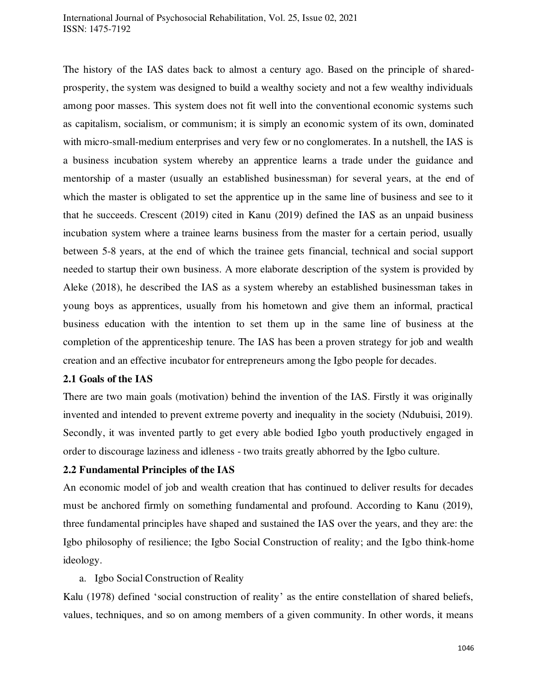The history of the IAS dates back to almost a century ago. Based on the principle of sharedprosperity, the system was designed to build a wealthy society and not a few wealthy individuals among poor masses. This system does not fit well into the conventional economic systems such as capitalism, socialism, or communism; it is simply an economic system of its own, dominated with micro-small-medium enterprises and very few or no conglomerates. In a nutshell, the IAS is a business incubation system whereby an apprentice learns a trade under the guidance and mentorship of a master (usually an established businessman) for several years, at the end of which the master is obligated to set the apprentice up in the same line of business and see to it that he succeeds. Crescent (2019) cited in Kanu (2019) defined the IAS as an unpaid business incubation system where a trainee learns business from the master for a certain period, usually between 5-8 years, at the end of which the trainee gets financial, technical and social support needed to startup their own business. A more elaborate description of the system is provided by Aleke (2018), he described the IAS as a system whereby an established businessman takes in young boys as apprentices, usually from his hometown and give them an informal, practical business education with the intention to set them up in the same line of business at the completion of the apprenticeship tenure. The IAS has been a proven strategy for job and wealth creation and an effective incubator for entrepreneurs among the Igbo people for decades.

## **2.1 Goals of the IAS**

There are two main goals (motivation) behind the invention of the IAS. Firstly it was originally invented and intended to prevent extreme poverty and inequality in the society (Ndubuisi, 2019). Secondly, it was invented partly to get every able bodied Igbo youth productively engaged in order to discourage laziness and idleness - two traits greatly abhorred by the Igbo culture.

## **2.2 Fundamental Principles of the IAS**

An economic model of job and wealth creation that has continued to deliver results for decades must be anchored firmly on something fundamental and profound. According to Kanu (2019), three fundamental principles have shaped and sustained the IAS over the years, and they are: the Igbo philosophy of resilience; the Igbo Social Construction of reality; and the Igbo think-home ideology.

## a. Igbo Social Construction of Reality

Kalu (1978) defined 'social construction of reality' as the entire constellation of shared beliefs, values, techniques, and so on among members of a given community. In other words, it means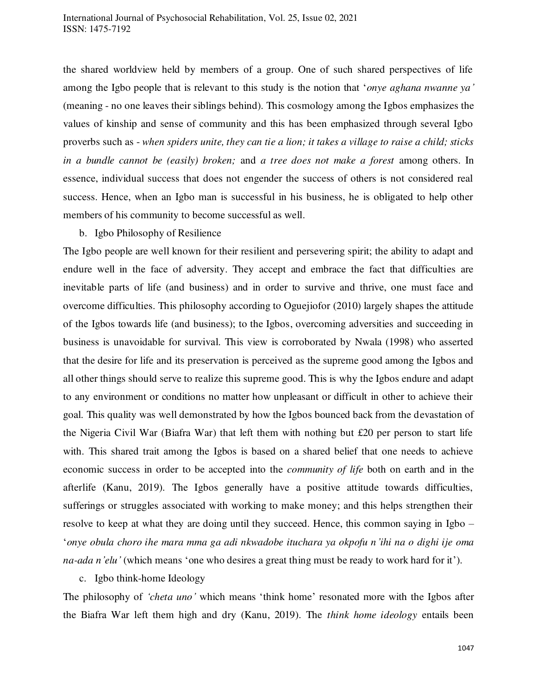the shared worldview held by members of a group. One of such shared perspectives of life among the Igbo people that is relevant to this study is the notion that '*onye aghana nwanne ya'* (meaning - no one leaves their siblings behind). This cosmology among the Igbos emphasizes the values of kinship and sense of community and this has been emphasized through several Igbo proverbs such as - *when spiders unite, they can tie a lion; it takes a village to raise a child; sticks in a bundle cannot be (easily) broken;* and *a tree does not make a forest* among others. In essence, individual success that does not engender the success of others is not considered real success. Hence, when an Igbo man is successful in his business, he is obligated to help other members of his community to become successful as well.

#### b. Igbo Philosophy of Resilience

The Igbo people are well known for their resilient and persevering spirit; the ability to adapt and endure well in the face of adversity. They accept and embrace the fact that difficulties are inevitable parts of life (and business) and in order to survive and thrive, one must face and overcome difficulties. This philosophy according to Oguejiofor (2010) largely shapes the attitude of the Igbos towards life (and business); to the Igbos, overcoming adversities and succeeding in business is unavoidable for survival. This view is corroborated by Nwala (1998) who asserted that the desire for life and its preservation is perceived as the supreme good among the Igbos and all other things should serve to realize this supreme good. This is why the Igbos endure and adapt to any environment or conditions no matter how unpleasant or difficult in other to achieve their goal. This quality was well demonstrated by how the Igbos bounced back from the devastation of the Nigeria Civil War (Biafra War) that left them with nothing but £20 per person to start life with. This shared trait among the Igbos is based on a shared belief that one needs to achieve economic success in order to be accepted into the *community of life* both on earth and in the afterlife (Kanu, 2019). The Igbos generally have a positive attitude towards difficulties, sufferings or struggles associated with working to make money; and this helps strengthen their resolve to keep at what they are doing until they succeed. Hence, this common saying in Igbo – '*onye obula choro ihe mara mma ga adi nkwadobe ituchara ya okpofu n'ihi na o dighi ije oma na-ada n'elu'* (which means 'one who desires a great thing must be ready to work hard for it').

## c. Igbo think-home Ideology

The philosophy of *'cheta uno'* which means 'think home' resonated more with the Igbos after the Biafra War left them high and dry (Kanu, 2019). The *think home ideology* entails been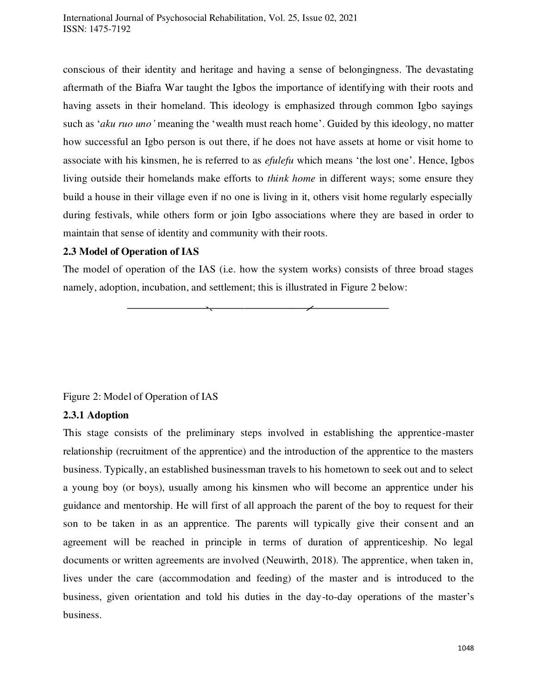conscious of their identity and heritage and having a sense of belongingness. The devastating aftermath of the Biafra War taught the Igbos the importance of identifying with their roots and having assets in their homeland. This ideology is emphasized through common Igbo sayings such as '*aku ruo uno'* meaning the 'wealth must reach home'. Guided by this ideology, no matter how successful an Igbo person is out there, if he does not have assets at home or visit home to associate with his kinsmen, he is referred to as *efulefu* which means 'the lost one'. Hence, Igbos living outside their homelands make efforts to *think home* in different ways; some ensure they build a house in their village even if no one is living in it, others visit home regularly especially during festivals, while others form or join Igbo associations where they are based in order to maintain that sense of identity and community with their roots.

## **2.3 Model of Operation of IAS**

The model of operation of the IAS (i.e. how the system works) consists of three broad stages namely, adoption, incubation, and settlement; this is illustrated in Figure 2 below:

## Figure 2: Model of Operation of IAS

## **2.3.1 Adoption**

This stage consists of the preliminary steps involved in establishing the apprentice-master relationship (recruitment of the apprentice) and the introduction of the apprentice to the masters business. Typically, an established businessman travels to his hometown to seek out and to select a young boy (or boys), usually among his kinsmen who will become an apprentice under his guidance and mentorship. He will first of all approach the parent of the boy to request for their son to be taken in as an apprentice. The parents will typically give their consent and an agreement will be reached in principle in terms of duration of apprenticeship. No legal documents or written agreements are involved (Neuwirth, 2018). The apprentice, when taken in, lives under the care (accommodation and feeding) of the master and is introduced to the business, given orientation and told his duties in the day-to-day operations of the master's business.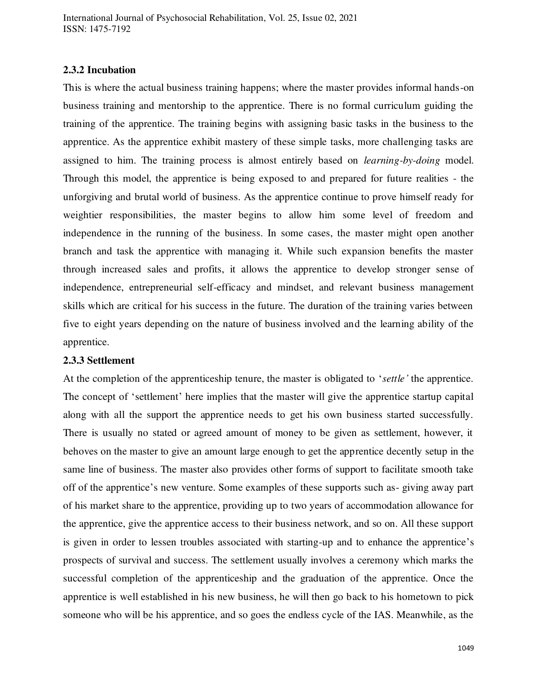## **2.3.2 Incubation**

This is where the actual business training happens; where the master provides informal hands-on business training and mentorship to the apprentice. There is no formal curriculum guiding the training of the apprentice. The training begins with assigning basic tasks in the business to the apprentice. As the apprentice exhibit mastery of these simple tasks, more challenging tasks are assigned to him. The training process is almost entirely based on *learning-by-doing* model. Through this model, the apprentice is being exposed to and prepared for future realities - the unforgiving and brutal world of business. As the apprentice continue to prove himself ready for weightier responsibilities, the master begins to allow him some level of freedom and independence in the running of the business. In some cases, the master might open another branch and task the apprentice with managing it. While such expansion benefits the master through increased sales and profits, it allows the apprentice to develop stronger sense of independence, entrepreneurial self-efficacy and mindset, and relevant business management skills which are critical for his success in the future. The duration of the training varies between five to eight years depending on the nature of business involved and the learning ability of the apprentice.

#### **2.3.3 Settlement**

At the completion of the apprenticeship tenure, the master is obligated to '*settle'* the apprentice. The concept of 'settlement' here implies that the master will give the apprentice startup capital along with all the support the apprentice needs to get his own business started successfully. There is usually no stated or agreed amount of money to be given as settlement, however, it behoves on the master to give an amount large enough to get the apprentice decently setup in the same line of business. The master also provides other forms of support to facilitate smooth take off of the apprentice's new venture. Some examples of these supports such as- giving away part of his market share to the apprentice, providing up to two years of accommodation allowance for the apprentice, give the apprentice access to their business network, and so on. All these support is given in order to lessen troubles associated with starting-up and to enhance the apprentice's prospects of survival and success. The settlement usually involves a ceremony which marks the successful completion of the apprenticeship and the graduation of the apprentice. Once the apprentice is well established in his new business, he will then go back to his hometown to pick someone who will be his apprentice, and so goes the endless cycle of the IAS. Meanwhile, as the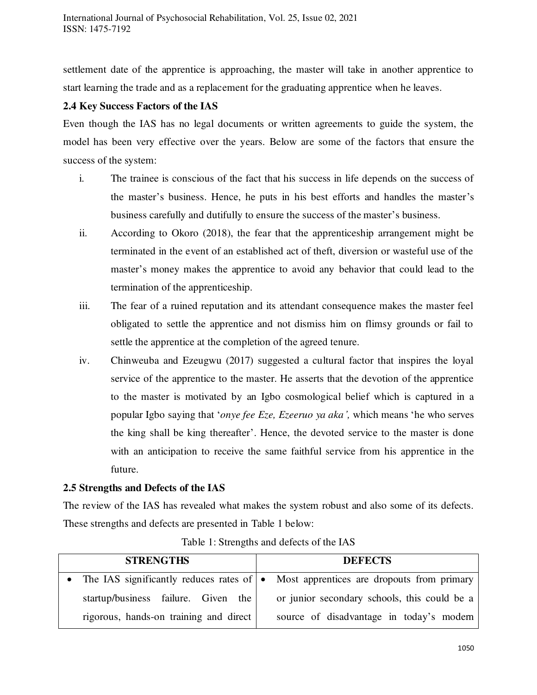settlement date of the apprentice is approaching, the master will take in another apprentice to start learning the trade and as a replacement for the graduating apprentice when he leaves.

## **2.4 Key Success Factors of the IAS**

Even though the IAS has no legal documents or written agreements to guide the system, the model has been very effective over the years. Below are some of the factors that ensure the success of the system:

- i. The trainee is conscious of the fact that his success in life depends on the success of the master's business. Hence, he puts in his best efforts and handles the master's business carefully and dutifully to ensure the success of the master's business.
- ii. According to Okoro (2018), the fear that the apprenticeship arrangement might be terminated in the event of an established act of theft, diversion or wasteful use of the master's money makes the apprentice to avoid any behavior that could lead to the termination of the apprenticeship.
- iii. The fear of a ruined reputation and its attendant consequence makes the master feel obligated to settle the apprentice and not dismiss him on flimsy grounds or fail to settle the apprentice at the completion of the agreed tenure.
- iv. Chinweuba and Ezeugwu (2017) suggested a cultural factor that inspires the loyal service of the apprentice to the master. He asserts that the devotion of the apprentice to the master is motivated by an Igbo cosmological belief which is captured in a popular Igbo saying that '*onye fee Eze, Ezeeruo ya aka',* which means 'he who serves the king shall be king thereafter'. Hence, the devoted service to the master is done with an anticipation to receive the same faithful service from his apprentice in the future.

## **2.5 Strengths and Defects of the IAS**

The review of the IAS has revealed what makes the system robust and also some of its defects. These strengths and defects are presented in Table 1 below:

| <b>STRENGTHS</b>                       | <b>DEFECTS</b>                                                                                |
|----------------------------------------|-----------------------------------------------------------------------------------------------|
|                                        | • The IAS significantly reduces rates of $\bullet$ Most apprentices are dropouts from primary |
| startup/business failure. Given the    | or junior secondary schools, this could be a                                                  |
| rigorous, hands-on training and direct | source of disadvantage in today's modern                                                      |

Table 1: Strengths and defects of the IAS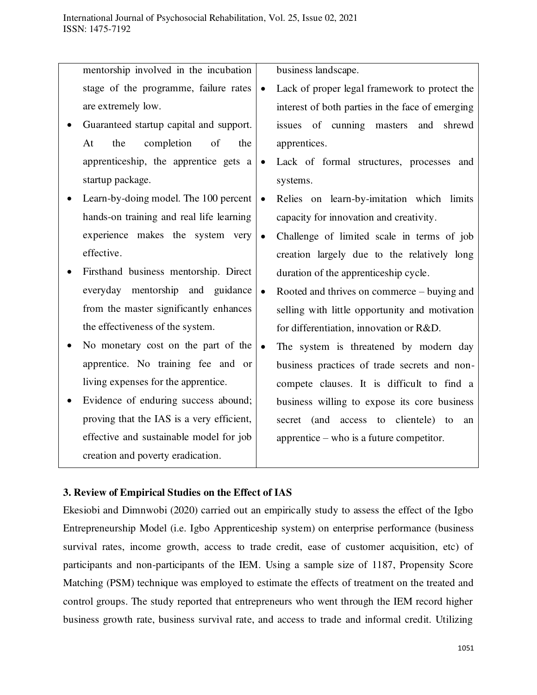mentorship involved in the incubation stage of the programme, failure rates are extremely low.

- Guaranteed startup capital and support. At the completion of the apprenticeship, the apprentice gets a startup package.
- Learn-by-doing model. The 100 percent hands-on training and real life learning experience makes the system very effective.
- Firsthand business mentorship. Direct everyday mentorship and guidance from the master significantly enhances the effectiveness of the system.
- No monetary cost on the part of the  $\bullet$ apprentice. No training fee and or living expenses for the apprentice.
- Evidence of enduring success abound; proving that the IAS is a very efficient, effective and sustainable model for job creation and poverty eradication.

business landscape.

- Lack of proper legal framework to protect the interest of both parties in the face of emerging issues of cunning masters and shrewd apprentices.
- Lack of formal structures, processes and systems.
- Relies on learn-by-imitation which limits capacity for innovation and creativity.
- Challenge of limited scale in terms of job creation largely due to the relatively long duration of the apprenticeship cycle.
- Rooted and thrives on commerce buying and selling with little opportunity and motivation for differentiation, innovation or R&D.
	- The system is threatened by modern day business practices of trade secrets and noncompete clauses. It is difficult to find a business willing to expose its core business secret (and access to clientele) to an apprentice – who is a future competitor.

## **3. Review of Empirical Studies on the Effect of IAS**

Ekesiobi and Dimnwobi (2020) carried out an empirically study to assess the effect of the Igbo Entrepreneurship Model (i.e. Igbo Apprenticeship system) on enterprise performance (business survival rates, income growth, access to trade credit, ease of customer acquisition, etc) of participants and non-participants of the IEM. Using a sample size of 1187, Propensity Score Matching (PSM) technique was employed to estimate the effects of treatment on the treated and control groups. The study reported that entrepreneurs who went through the IEM record higher business growth rate, business survival rate, and access to trade and informal credit. Utilizing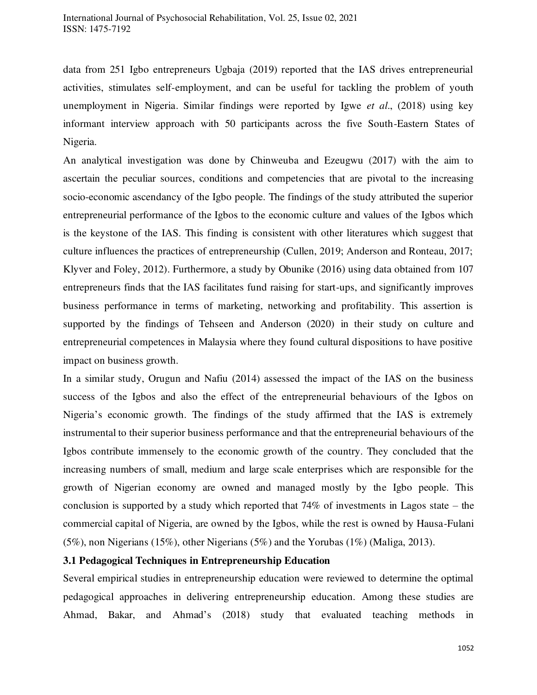data from 251 Igbo entrepreneurs Ugbaja (2019) reported that the IAS drives entrepreneurial activities, stimulates self-employment, and can be useful for tackling the problem of youth unemployment in Nigeria. Similar findings were reported by Igwe *et al*., (2018) using key informant interview approach with 50 participants across the five South-Eastern States of Nigeria.

An analytical investigation was done by Chinweuba and Ezeugwu (2017) with the aim to ascertain the peculiar sources, conditions and competencies that are pivotal to the increasing socio-economic ascendancy of the Igbo people. The findings of the study attributed the superior entrepreneurial performance of the Igbos to the economic culture and values of the Igbos which is the keystone of the IAS. This finding is consistent with other literatures which suggest that culture influences the practices of entrepreneurship (Cullen, 2019; Anderson and Ronteau, 2017; Klyver and Foley, 2012). Furthermore, a study by Obunike (2016) using data obtained from 107 entrepreneurs finds that the IAS facilitates fund raising for start-ups, and significantly improves business performance in terms of marketing, networking and profitability. This assertion is supported by the findings of Tehseen and Anderson (2020) in their study on culture and entrepreneurial competences in Malaysia where they found cultural dispositions to have positive impact on business growth.

In a similar study, Orugun and Nafiu (2014) assessed the impact of the IAS on the business success of the Igbos and also the effect of the entrepreneurial behaviours of the Igbos on Nigeria's economic growth. The findings of the study affirmed that the IAS is extremely instrumental to their superior business performance and that the entrepreneurial behaviours of the Igbos contribute immensely to the economic growth of the country. They concluded that the increasing numbers of small, medium and large scale enterprises which are responsible for the growth of Nigerian economy are owned and managed mostly by the Igbo people. This conclusion is supported by a study which reported that  $74\%$  of investments in Lagos state – the commercial capital of Nigeria, are owned by the Igbos, while the rest is owned by Hausa-Fulani (5%), non Nigerians (15%), other Nigerians (5%) and the Yorubas (1%) (Maliga, 2013).

## **3.1 Pedagogical Techniques in Entrepreneurship Education**

Several empirical studies in entrepreneurship education were reviewed to determine the optimal pedagogical approaches in delivering entrepreneurship education. Among these studies are Ahmad, Bakar, and Ahmad's (2018) study that evaluated teaching methods in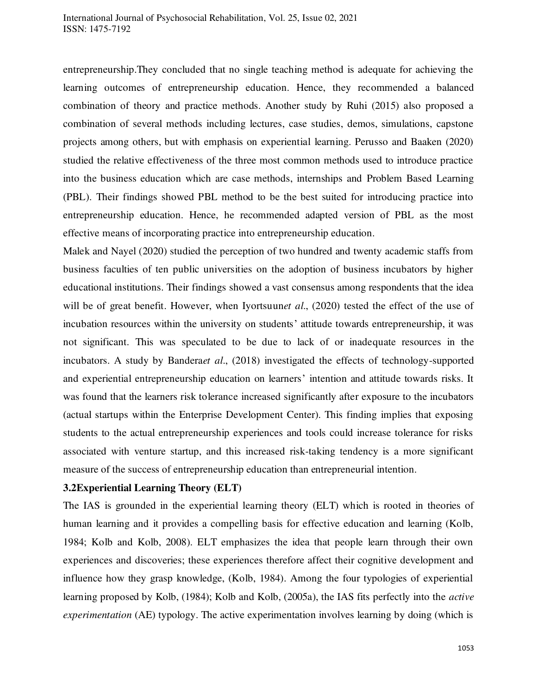entrepreneurship.They concluded that no single teaching method is adequate for achieving the learning outcomes of entrepreneurship education. Hence, they recommended a balanced combination of theory and practice methods. Another study by Ruhi (2015) also proposed a combination of several methods including lectures, case studies, demos, simulations, capstone projects among others, but with emphasis on experiential learning. Perusso and Baaken (2020) studied the relative effectiveness of the three most common methods used to introduce practice into the business education which are case methods, internships and Problem Based Learning (PBL). Their findings showed PBL method to be the best suited for introducing practice into entrepreneurship education. Hence, he recommended adapted version of PBL as the most effective means of incorporating practice into entrepreneurship education.

Malek and Nayel (2020) studied the perception of two hundred and twenty academic staffs from business faculties of ten public universities on the adoption of business incubators by higher educational institutions. Their findings showed a vast consensus among respondents that the idea will be of great benefit. However, when Iyortsuun*et al*., (2020) tested the effect of the use of incubation resources within the university on students' attitude towards entrepreneurship, it was not significant. This was speculated to be due to lack of or inadequate resources in the incubators. A study by Bandera*et al*., (2018) investigated the effects of technology-supported and experiential entrepreneurship education on learners' intention and attitude towards risks. It was found that the learners risk tolerance increased significantly after exposure to the incubators (actual startups within the Enterprise Development Center). This finding implies that exposing students to the actual entrepreneurship experiences and tools could increase tolerance for risks associated with venture startup, and this increased risk-taking tendency is a more significant measure of the success of entrepreneurship education than entrepreneurial intention.

## **3.2Experiential Learning Theory (ELT)**

The IAS is grounded in the experiential learning theory (ELT) which is rooted in theories of human learning and it provides a compelling basis for effective education and learning (Kolb, 1984; Kolb and Kolb, 2008). ELT emphasizes the idea that people learn through their own experiences and discoveries; these experiences therefore affect their cognitive development and influence how they grasp knowledge, (Kolb, 1984). Among the four typologies of experiential learning proposed by Kolb, (1984); Kolb and Kolb, (2005a), the IAS fits perfectly into the *active experimentation* (AE) typology. The active experimentation involves learning by doing (which is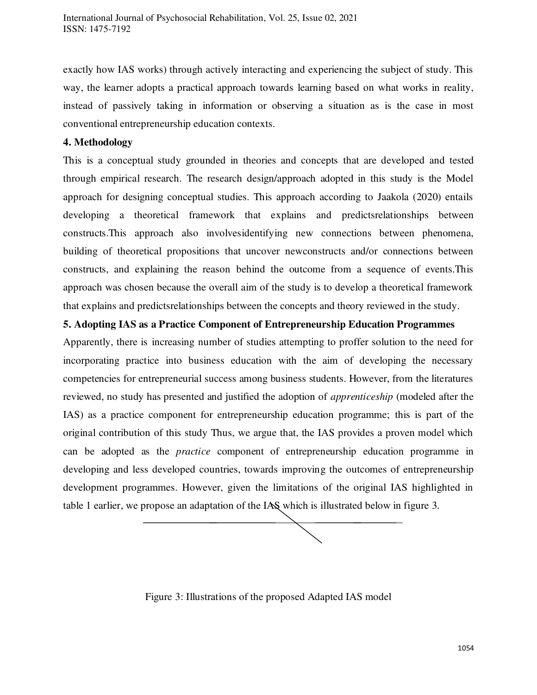exactly how IAS works) through actively interacting and experiencing the subject of study. This way, the learner adopts a practical approach towards learning based on what works in reality, instead of passively taking in information or observing a situation as is the case in most conventional entrepreneurship education contexts.

## **4. Methodology**

This is a conceptual study grounded in theories and concepts that are developed and tested through empirical research. The research design/approach adopted in this study is the Model approach for designing conceptual studies. This approach according to Jaakola (2020) entails developing a theoretical framework that explains and predictsrelationships between constructs.This approach also involvesidentifying new connections between phenomena, building of theoretical propositions that uncover newconstructs and/or connections between constructs, and explaining the reason behind the outcome from a sequence of events.This approach was chosen because the overall aim of the study is to develop a theoretical framework that explains and predictsrelationships between the concepts and theory reviewed in the study.

## **5. Adopting IAS as a Practice Component of Entrepreneurship Education Programmes**

Apparently, there is increasing number of studies attempting to proffer solution to the need for incorporating practice into business education with the aim of developing the necessary competencies for entrepreneurial success among business students. However, from the literatures reviewed, no study has presented and justified the adoption of *apprenticeship* (modeled after the IAS) as a practice component for entrepreneurship education programme; this is part of the original contribution of this study Thus, we argue that, the IAS provides a proven model which can be adopted as the *practice* component of entrepreneurship education programme in developing and less developed countries, towards improving the outcomes of entrepreneurship development programmes. However, given the limitations of the original IAS highlighted in table 1 earlier, we propose an adaptation of the IAS which is illustrated below in figure 3.

Figure 3: Illustrations of the proposed Adapted IAS model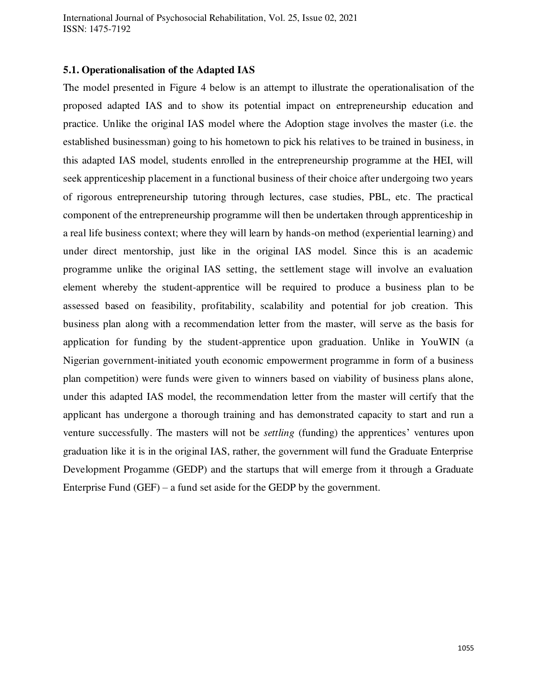International Journal of Psychosocial Rehabilitation, Vol. 25, Issue 02, 2021 ISSN: 1475-7192

## **5.1. Operationalisation of the Adapted IAS**

The model presented in Figure 4 below is an attempt to illustrate the operationalisation of the proposed adapted IAS and to show its potential impact on entrepreneurship education and practice. Unlike the original IAS model where the Adoption stage involves the master (i.e. the established businessman) going to his hometown to pick his relatives to be trained in business, in this adapted IAS model, students enrolled in the entrepreneurship programme at the HEI, will seek apprenticeship placement in a functional business of their choice after undergoing two years of rigorous entrepreneurship tutoring through lectures, case studies, PBL, etc. The practical component of the entrepreneurship programme will then be undertaken through apprenticeship in a real life business context; where they will learn by hands-on method (experiential learning) and under direct mentorship, just like in the original IAS model. Since this is an academic programme unlike the original IAS setting, the settlement stage will involve an evaluation element whereby the student-apprentice will be required to produce a business plan to be assessed based on feasibility, profitability, scalability and potential for job creation. This business plan along with a recommendation letter from the master, will serve as the basis for application for funding by the student-apprentice upon graduation. Unlike in YouWIN (a Nigerian government-initiated youth economic empowerment programme in form of a business plan competition) were funds were given to winners based on viability of business plans alone, under this adapted IAS model, the recommendation letter from the master will certify that the applicant has undergone a thorough training and has demonstrated capacity to start and run a venture successfully. The masters will not be *settling* (funding) the apprentices' ventures upon graduation like it is in the original IAS, rather, the government will fund the Graduate Enterprise Development Progamme (GEDP) and the startups that will emerge from it through a Graduate Enterprise Fund (GEF) – a fund set aside for the GEDP by the government.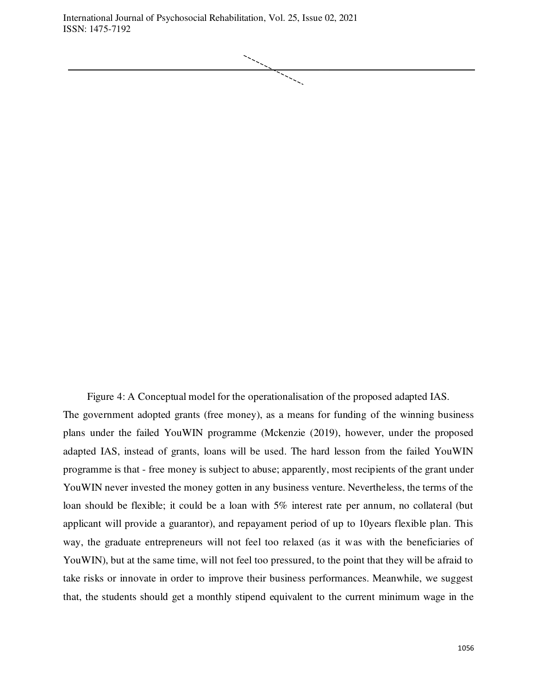International Journal of Psychosocial Rehabilitation, Vol. 25, Issue 02, 2021 ISSN: 1475-7192



Figure 4: A Conceptual model for the operationalisation of the proposed adapted IAS. The government adopted grants (free money), as a means for funding of the winning business plans under the failed YouWIN programme (Mckenzie (2019), however, under the proposed adapted IAS, instead of grants, loans will be used. The hard lesson from the failed YouWIN programme is that - free money is subject to abuse; apparently, most recipients of the grant under YouWIN never invested the money gotten in any business venture. Nevertheless, the terms of the loan should be flexible; it could be a loan with 5% interest rate per annum, no collateral (but applicant will provide a guarantor), and repayament period of up to 10years flexible plan. This way, the graduate entrepreneurs will not feel too relaxed (as it was with the beneficiaries of YouWIN), but at the same time, will not feel too pressured, to the point that they will be afraid to take risks or innovate in order to improve their business performances. Meanwhile, we suggest that, the students should get a monthly stipend equivalent to the current minimum wage in the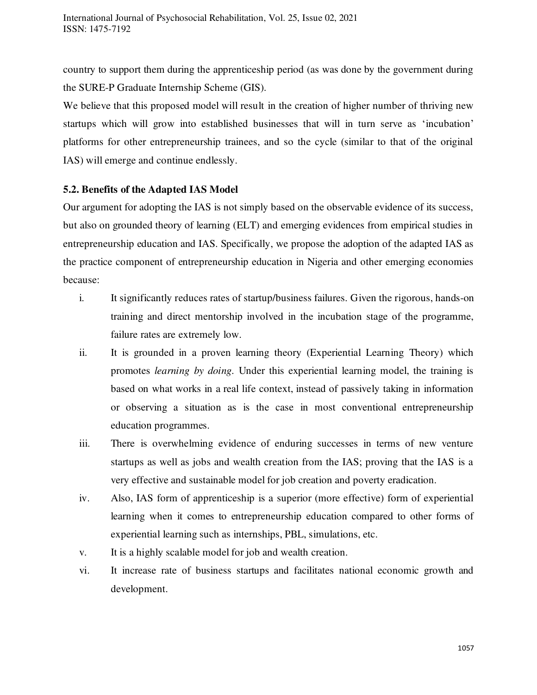country to support them during the apprenticeship period (as was done by the government during the SURE-P Graduate Internship Scheme (GIS).

We believe that this proposed model will result in the creation of higher number of thriving new startups which will grow into established businesses that will in turn serve as 'incubation' platforms for other entrepreneurship trainees, and so the cycle (similar to that of the original IAS) will emerge and continue endlessly.

## **5.2. Benefits of the Adapted IAS Model**

Our argument for adopting the IAS is not simply based on the observable evidence of its success, but also on grounded theory of learning (ELT) and emerging evidences from empirical studies in entrepreneurship education and IAS. Specifically, we propose the adoption of the adapted IAS as the practice component of entrepreneurship education in Nigeria and other emerging economies because:

- i. It significantly reduces rates of startup/business failures. Given the rigorous, hands-on training and direct mentorship involved in the incubation stage of the programme, failure rates are extremely low.
- ii. It is grounded in a proven learning theory (Experiential Learning Theory) which promotes *learning by doing.* Under this experiential learning model, the training is based on what works in a real life context, instead of passively taking in information or observing a situation as is the case in most conventional entrepreneurship education programmes.
- iii. There is overwhelming evidence of enduring successes in terms of new venture startups as well as jobs and wealth creation from the IAS; proving that the IAS is a very effective and sustainable model for job creation and poverty eradication.
- iv. Also, IAS form of apprenticeship is a superior (more effective) form of experiential learning when it comes to entrepreneurship education compared to other forms of experiential learning such as internships, PBL, simulations, etc.
- v. It is a highly scalable model for job and wealth creation.
- vi. It increase rate of business startups and facilitates national economic growth and development.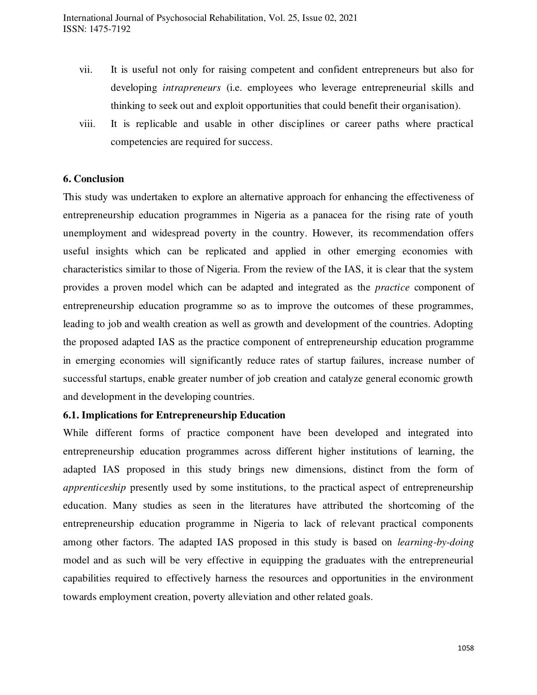- vii. It is useful not only for raising competent and confident entrepreneurs but also for developing *intrapreneurs* (i.e. employees who leverage entrepreneurial skills and thinking to seek out and exploit opportunities that could benefit their organisation).
- viii. It is replicable and usable in other disciplines or career paths where practical competencies are required for success.

## **6. Conclusion**

This study was undertaken to explore an alternative approach for enhancing the effectiveness of entrepreneurship education programmes in Nigeria as a panacea for the rising rate of youth unemployment and widespread poverty in the country. However, its recommendation offers useful insights which can be replicated and applied in other emerging economies with characteristics similar to those of Nigeria. From the review of the IAS, it is clear that the system provides a proven model which can be adapted and integrated as the *practice* component of entrepreneurship education programme so as to improve the outcomes of these programmes, leading to job and wealth creation as well as growth and development of the countries. Adopting the proposed adapted IAS as the practice component of entrepreneurship education programme in emerging economies will significantly reduce rates of startup failures, increase number of successful startups, enable greater number of job creation and catalyze general economic growth and development in the developing countries.

## **6.1. Implications for Entrepreneurship Education**

While different forms of practice component have been developed and integrated into entrepreneurship education programmes across different higher institutions of learning, the adapted IAS proposed in this study brings new dimensions, distinct from the form of *apprenticeship* presently used by some institutions, to the practical aspect of entrepreneurship education. Many studies as seen in the literatures have attributed the shortcoming of the entrepreneurship education programme in Nigeria to lack of relevant practical components among other factors. The adapted IAS proposed in this study is based on *learning-by-doing*  model and as such will be very effective in equipping the graduates with the entrepreneurial capabilities required to effectively harness the resources and opportunities in the environment towards employment creation, poverty alleviation and other related goals.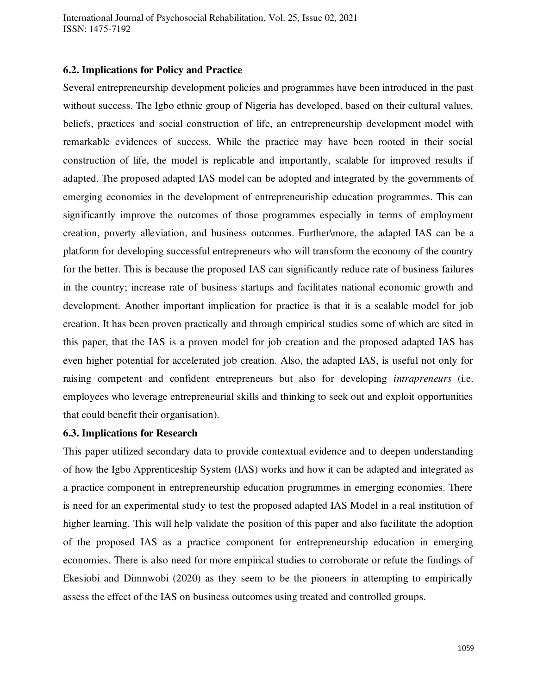International Journal of Psychosocial Rehabilitation, Vol. 25, Issue 02, 2021 ISSN: 1475-7192

#### **6.2. Implications for Policy and Practice**

Several entrepreneurship development policies and programmes have been introduced in the past without success. The Igbo ethnic group of Nigeria has developed, based on their cultural values, beliefs, practices and social construction of life, an entrepreneurship development model with remarkable evidences of success. While the practice may have been rooted in their social construction of life, the model is replicable and importantly, scalable for improved results if adapted. The proposed adapted IAS model can be adopted and integrated by the governments of emerging economies in the development of entrepreneuriship education programmes. This can significantly improve the outcomes of those programmes especially in terms of employment creation, poverty alleviation, and business outcomes. Further\more, the adapted IAS can be a platform for developing successful entrepreneurs who will transform the economy of the country for the better. This is because the proposed IAS can significantly reduce rate of business failures in the country; increase rate of business startups and facilitates national economic growth and development. Another important implication for practice is that it is a scalable model for job creation. It has been proven practically and through empirical studies some of which are sited in this paper, that the IAS is a proven model for job creation and the proposed adapted IAS has even higher potential for accelerated job creation. Also, the adapted IAS, is useful not only for raising competent and confident entrepreneurs but also for developing *intrapreneurs* (i.e. employees who leverage entrepreneurial skills and thinking to seek out and exploit opportunities that could benefit their organisation).

#### **6.3. Implications for Research**

This paper utilized secondary data to provide contextual evidence and to deepen understanding of how the Igbo Apprenticeship System (IAS) works and how it can be adapted and integrated as a practice component in entrepreneurship education programmes in emerging economies. There is need for an experimental study to test the proposed adapted IAS Model in a real institution of higher learning. This will help validate the position of this paper and also facilitate the adoption of the proposed IAS as a practice component for entrepreneurship education in emerging economies. There is also need for more empirical studies to corroborate or refute the findings of Ekesiobi and Dimnwobi (2020) as they seem to be the pioneers in attempting to empirically assess the effect of the IAS on business outcomes using treated and controlled groups.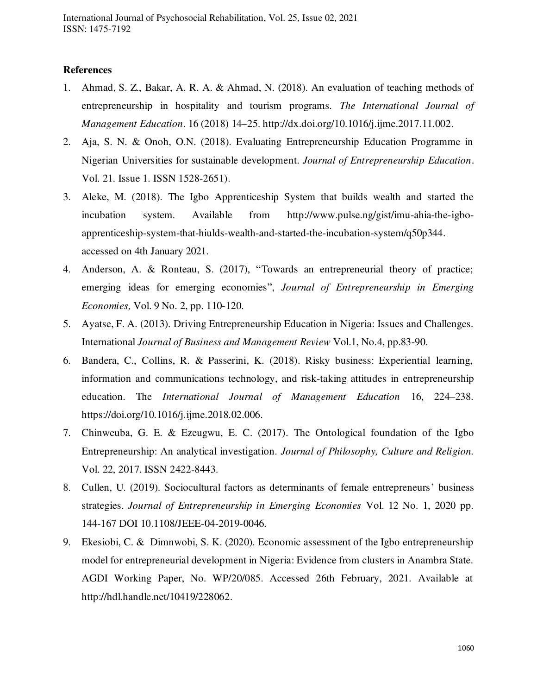## **References**

- 1. Ahmad, S. Z., Bakar, A. R. A. & Ahmad, N. (2018). An evaluation of teaching methods of entrepreneurship in hospitality and tourism programs. *The International Journal of Management Education*. 16 (2018) 14–25. [http://dx.doi.org/10.1016/j.ijme.2017.11.002.](http://dx.doi.org/10.1016/j.ijme.2017.11.002)
- 2. Aja, S. N. & Onoh, O.N. (2018). Evaluating Entrepreneurship Education Programme in Nigerian Universities for sustainable development. *Journal of Entrepreneurship Education*. Vol. 21. Issue 1. ISSN 1528-2651).
- 3. Aleke, M. (2018). The Igbo Apprenticeship System that builds wealth and started the incubation system. Available from [http://www.pulse.ng/gist/imu-ahia-the-igbo](http://www.pulse.ng/gist/imu-ahia-the-igbo-apprenticeship-system-that-hiulds-wealth-and-started-the-incubation-system/q50p344)[apprenticeship-system-that-hiulds-wealth-and-started-the-incubation-system/q50p344.](http://www.pulse.ng/gist/imu-ahia-the-igbo-apprenticeship-system-that-hiulds-wealth-and-started-the-incubation-system/q50p344) accessed on 4th January 2021.
- 4. Anderson, A. & Ronteau, S. (2017), "Towards an entrepreneurial theory of practice; emerging ideas for emerging economies", *Journal of Entrepreneurship in Emerging Economies,* Vol. 9 No. 2, pp. 110-120.
- 5. Ayatse, F. A. (2013). Driving Entrepreneurship Education in Nigeria: Issues and Challenges. International *Journal of Business and Management Review* Vol.1, No.4, pp.83-90.
- 6. Bandera, C., Collins, R. & Passerini, K. (2018). Risky business: Experiential learning, information and communications technology, and risk-taking attitudes in entrepreneurship education. The *International Journal of Management Education* 16, 224–238. [https://doi.org/10.1016/j.ijme.2018.02.006.](https://doi.org/10.1016/j.ijme.2018.02.006)
- 7. Chinweuba, G. E. & Ezeugwu, E. C. (2017). The Ontological foundation of the Igbo Entrepreneurship: An analytical investigation. *Journal of Philosophy, Culture and Religion.* Vol. 22, 2017. ISSN 2422-8443.
- 8. Cullen, U. (2019). Sociocultural factors as determinants of female entrepreneurs' business strategies. *Journal of Entrepreneurship in Emerging Economies* Vol. 12 No. 1, 2020 pp. 144-167 DOI 10.1108/JEEE-04-2019-0046.
- 9. Ekesiobi, C. & Dimnwobi, S. K. (2020). Economic assessment of the Igbo entrepreneurship model for entrepreneurial development in Nigeria: Evidence from clusters in Anambra State. AGDI Working Paper, No. WP/20/085. Accessed 26th February, 2021. Available at http://hdl.handle.net/10419/228062.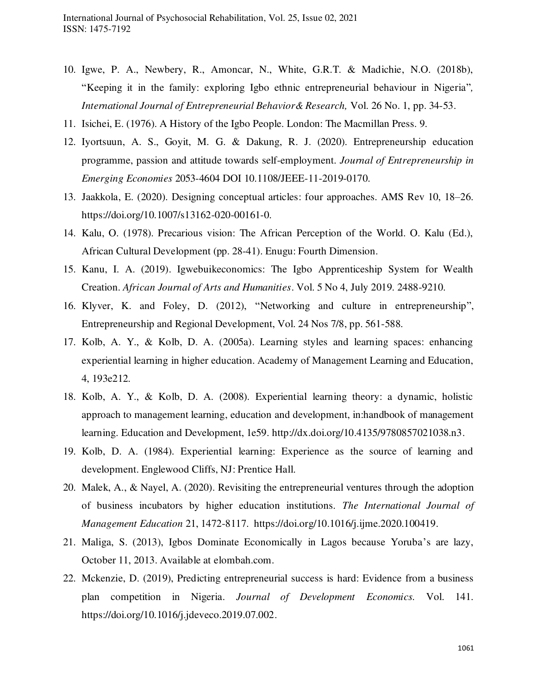- 10. Igwe, P. A., Newbery, R., Amoncar, N., White, G.R.T. & Madichie, N.O. (2018b), "Keeping it in the family: exploring Igbo ethnic entrepreneurial behaviour in Nigeria"*, International Journal of Entrepreneurial Behavior& Research,* Vol. 26 No. 1, pp. 34-53.
- 11. Isichei, E. (1976). A History of the Igbo People. London: The Macmillan Press. 9.
- 12. Iyortsuun, A. S., Goyit, M. G. & Dakung, R. J. (2020). Entrepreneurship education programme, passion and attitude towards self-employment. *Journal of Entrepreneurship in Emerging Economies* 2053-4604 DOI 10.1108/JEEE-11-2019-0170.
- 13. Jaakkola, E. (2020). Designing conceptual articles: four approaches. AMS Rev 10, 18–26. https://doi.org/10.1007/s13162-020-00161-0.
- 14. Kalu, O. (1978). Precarious vision: The African Perception of the World. O. Kalu (Ed.), African Cultural Development (pp. 28-41). Enugu: Fourth Dimension.
- 15. Kanu, I. A. (2019). Igwebuikeconomics: The Igbo Apprenticeship System for Wealth Creation. *African Journal of Arts and Humanities*. Vol. 5 No 4, July 2019. 2488-9210.
- 16. Klyver, K. and Foley, D. (2012), "Networking and culture in entrepreneurship", Entrepreneurship and Regional Development, Vol. 24 Nos 7/8, pp. 561-588.
- 17. Kolb, A. Y., & Kolb, D. A. (2005a). Learning styles and learning spaces: enhancing experiential learning in higher education. Academy of Management Learning and Education, 4, 193e212.
- 18. Kolb, A. Y., & Kolb, D. A. (2008). Experiential learning theory: a dynamic, holistic approach to management learning, education and development, in:handbook of management learning. Education and Development, 1e59. [http://dx.doi.org/10.4135/9780857021038.n3.](http://dx.doi.org/10.4135/9780857021038.n3)
- 19. Kolb, D. A. (1984). Experiential learning: Experience as the source of learning and development. Englewood Cliffs, NJ: Prentice Hall.
- 20. Malek, A., & Nayel, A. (2020). Revisiting the entrepreneurial ventures through the adoption of business incubators by higher education institutions. *The International Journal of Management Education* 21, 1472-8117. [https://doi.org/10.1016/j.ijme.2020.100419.](https://doi.org/10.1016/j.ijme.2020.100419)
- 21. Maliga, S. (2013), Igbos Dominate Economically in Lagos because Yoruba's are lazy, October 11, 2013. Available at elombah.com.
- 22. Mckenzie, D. (2019), Predicting entrepreneurial success is hard: Evidence from a business plan competition in Nigeria. *Journal of Development Economics.* Vol. 141. https://doi.org/10.1016/j.jdeveco.2019.07.002.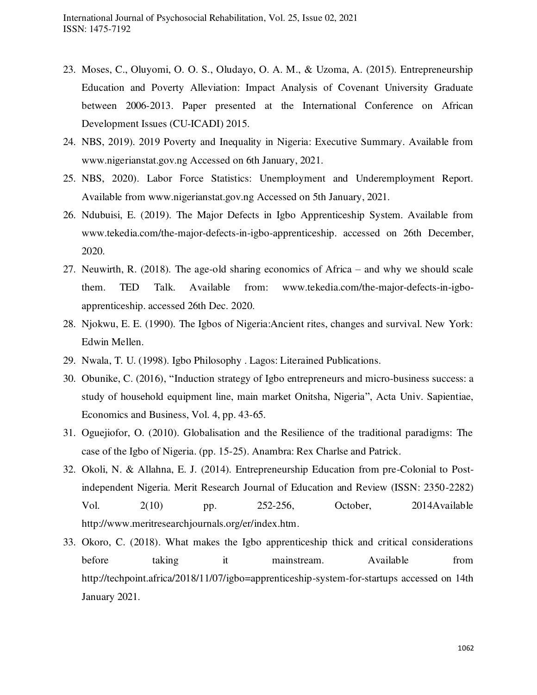- 23. Moses, C., Oluyomi, O. O. S., Oludayo, O. A. M., & Uzoma, A. (2015). Entrepreneurship Education and Poverty Alleviation: Impact Analysis of Covenant University Graduate between 2006-2013. Paper presented at the International Conference on African Development Issues (CU-ICADI) 2015.
- 24. NBS, 2019). 2019 Poverty and Inequality in Nigeria: Executive Summary. Available from [www.nigerianstat.gov.ng](http://www.nigerianstat.gov.ng/) Accessed on 6th January, 2021.
- 25. NBS, 2020). Labor Force Statistics: Unemployment and Underemployment Report. Available from [www.nigerianstat.gov.ng](http://www.nigerianstat.gov.ng/) Accessed on 5th January, 2021.
- 26. Ndubuisi, E. (2019). The Major Defects in Igbo Apprenticeship System. Available from [www.tekedia.com/the-major-defects-in-igbo-apprenticeship.](http://www.tekedia.com/the-major-defects-in-igbo-apprenticeship) accessed on 26th December, 2020.
- 27. Neuwirth, R. (2018). The age-old sharing economics of Africa and why we should scale them. TED Talk. Available from: [www.tekedia.com/the-major-defects-in-igbo](http://www.tekedia.com/the-major-defects-in-igbo-apprenticeship)[apprenticeship.](http://www.tekedia.com/the-major-defects-in-igbo-apprenticeship) accessed 26th Dec. 2020.
- 28. Njokwu, E. E. (1990). The Igbos of Nigeria:Ancient rites, changes and survival. New York: Edwin Mellen.
- 29. Nwala, T. U. (1998). Igbo Philosophy . Lagos: Literained Publications.
- 30. Obunike, C. (2016), "Induction strategy of Igbo entrepreneurs and micro-business success: a study of household equipment line, main market Onitsha, Nigeria", Acta Univ. Sapientiae, Economics and Business, Vol. 4, pp. 43-65.
- 31. Oguejiofor, O. (2010). Globalisation and the Resilience of the traditional paradigms: The case of the Igbo of Nigeria. (pp. 15-25). Anambra: Rex Charlse and Patrick.
- 32. Okoli, N. & Allahna, E. J. (2014). Entrepreneurship Education from pre-Colonial to Postindependent Nigeria. Merit Research Journal of Education and Review (ISSN: 2350-2282) Vol. 2(10) pp. 252-256, October, 2014Available http://www.meritresearchjournals.org/er/index.htm.
- 33. Okoro, C. (2018). What makes the Igbo apprenticeship thick and critical considerations before taking it mainstream. Available from <http://techpoint.africa/2018/11/07/igbo=apprenticeship-system-for-startups>accessed on 14th January 2021.